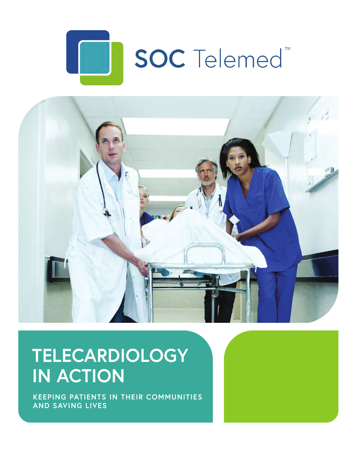



# **TELECARDIOLOGY IN ACTION**

**KEEPING PATIENTS IN THEIR COMMUNITIES AND SAVING LIVES**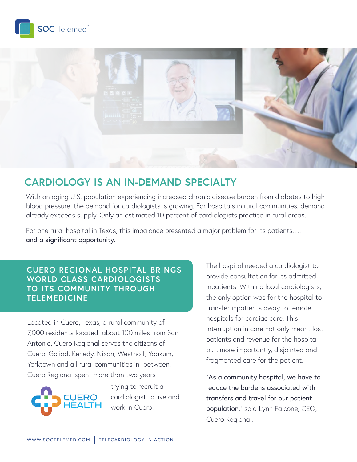



# **CARDIOLOGY IS AN IN-DEMAND SPECIALTY**

With an aging U.S. population experiencing increased chronic disease burden from diabetes to high blood pressure, the demand for cardiologists is growing. For hospitals in rural communities, demand already exceeds supply. Only an estimated 10 percent of cardiologists practice in rural areas.

For one rural hospital in Texas, this imbalance presented a major problem for its patients…. and a significant opportunity.

#### **CUERO REGIONAL HOSPITAL BRINGS WORLD CLASS CARDIOLOGISTS TO ITS COMMUNITY THROUGH TELEMEDICINE**

Located in Cuero, Texas, a rural community of 7,000 residents located about 100 miles from San Antonio, Cuero Regional serves the citizens of Cuero, Goliad, Kenedy, Nixon, Westhoff, Yoakum, Yorktown and all rural communities in between. Cuero Regional spent more than two years



trying to recruit a cardiologist to live and work in Cuero.

The hospital needed a cardiologist to provide consultation for its admitted inpatients. With no local cardiologists, the only option was for the hospital to transfer inpatients away to remote hospitals for cardiac care. This interruption in care not only meant lost patients and revenue for the hospital but, more importantly, disjointed and fragmented care for the patient.

"As a community hospital, we have to reduce the burdens associated with transfers and travel for our patient population," said Lynn Falcone, CEO, Cuero Regional.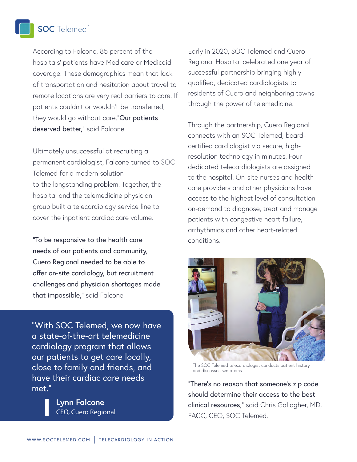**SOC** Telemed<sup>"</sup>

According to Falcone, 85 percent of the hospitals' patients have Medicare or Medicaid coverage. These demographics mean that lack of transportation and hesitation about travel to remote locations are very real barriers to care. If patients couldn't or wouldn't be transferred, they would go without care."Our patients deserved better," said Falcone.

Ultimately unsuccessful at recruiting a permanent cardiologist, Falcone turned to SOC Telemed for a modern solution to the longstanding problem. Together, the hospital and the telemedicine physician group built a telecardiology service line to cover the inpatient cardiac care volume.

"To be responsive to the health care needs of our patients and community, Cuero Regional needed to be able to offer on-site cardiology, but recruitment challenges and physician shortages made that impossible," said Falcone.

"With SOC Telemed, we now have a state-of-the-art telemedicine cardiology program that allows our patients to get care locally, close to family and friends, and have their cardiac care needs met."

> **Lynn Falcone** *CEO, Cuero Regional*

Early in 2020, SOC Telemed and Cuero Regional Hospital celebrated one year of successful partnership bringing highly qualified, dedicated cardiologists to residents of Cuero and neighboring towns through the power of telemedicine.

Through the partnership, Cuero Regional connects with an SOC Telemed, boardcertified cardiologist via secure, highresolution technology in minutes. Four dedicated telecardiologists are assigned to the hospital. On-site nurses and health care providers and other physicians have access to the highest level of consultation on-demand to diagnose, treat and manage patients with congestive heart failure, arrhythmias and other heart-related conditions.



The SOC Telemed telecardiologist conducts patient history and discusses symptoms.

"There's no reason that someone's zip code should determine their access to the best clinical resources," said Chris Gallagher, MD, FACC, CEO, SOC Telemed.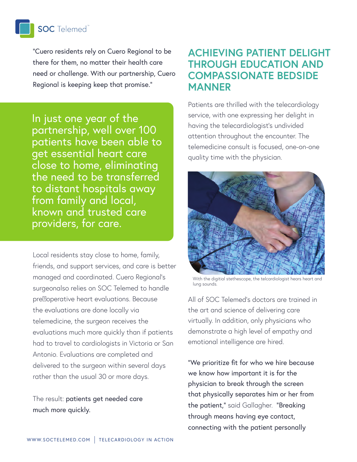# **SOC** Telemed<sup>"</sup>

"Cuero residents rely on Cuero Regional to be there for them, no matter their health care need or challenge. With our partnership, Cuero Regional is keeping keep that promise."

In just one year of the partnership, well over 100 patients have been able to get essential heart care close to home, eliminating the need to be transferred to distant hospitals away from family and local, known and trusted care providers, for care.

Local residents stay close to home, family, friends, and support services, and care is better managed and coordinated. Cuero Regional's surgeonalso relies on SOC Telemed to handle pre<sup>[2]</sup>operative heart evaluations. Because the evaluations are done locally via telemedicine, the surgeon receives the evaluations much more quickly than if patients had to travel to cardiologists in Victoria or San Antonio. Evaluations are completed and delivered to the surgeon within several days rather than the usual 30 or more days.

The result: patients get needed care much more quickly.

#### **ACHIEVING PATIENT DELIGHT THROUGH EDUCATION AND COMPASSIONATE BEDSIDE MANNER**

Patients are thrilled with the telecardiology service, with one expressing her delight in having the telecardiologist's undivided attention throughout the encounter. The telemedicine consult is focused, one-on-one quality time with the physician.



With the digitial stethescope, the telcardiologist hears heart and lung sounds.

All of SOC Telemed's doctors are trained in the art and science of delivering care virtually. In addition, only physicians who demonstrate a high level of empathy and emotional intelligence are hired.

"We prioritize fit for who we hire because we know how important it is for the physician to break through the screen that physically separates him or her from the patient," said Gallagher. "Breaking through means having eye contact, connecting with the patient personally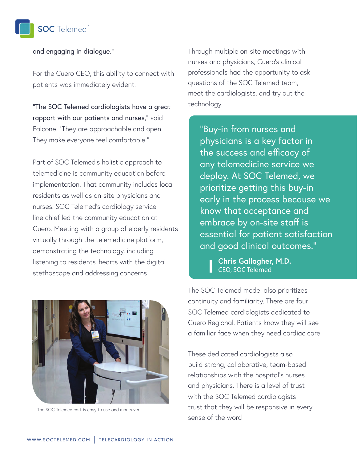

and engaging in dialogue."

For the Cuero CEO, this ability to connect with patients was immediately evident.

"The SOC Telemed cardiologists have a great rapport with our patients and nurses," said Falcone. "They are approachable and open. They make everyone feel comfortable."

Part of SOC Telemed's holistic approach to telemedicine is community education before implementation. That community includes local residents as well as on-site physicians and nurses. SOC Telemed's cardiology service line chief led the community education at Cuero. Meeting with a group of elderly residents virtually through the telemedicine platform, demonstrating the technology, including listening to residents' hearts with the digital stethoscope and addressing concerns



The SOC Telemed cart is easy to use and maneuver

Through multiple on-site meetings with nurses and physicians, Cuero's clinical professionals had the opportunity to ask questions of the SOC Telemed team, meet the cardiologists, and try out the technology.

"Buy-in from nurses and physicians is a key factor in the success and efficacy of any telemedicine service we deploy. At SOC Telemed, we prioritize getting this buy-in early in the process because we know that acceptance and embrace by on-site staff is essential for patient satisfaction and good clinical outcomes."

**Chris Gallagher, M.D.** *CEO, SOC Telemed*

The SOC Telemed model also prioritizes continuity and familiarity. There are four SOC Telemed cardiologists dedicated to Cuero Regional. Patients know they will see a familiar face when they need cardiac care.

These dedicated cardiologists also build strong, collaborative, team-based relationships with the hospital's nurses and physicians. There is a level of trust with the SOC Telemed cardiologists – trust that they will be responsive in every sense of the word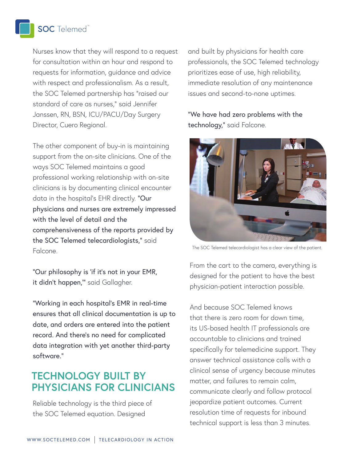#### **SOC** Telemed

Nurses know that they will respond to a request for consultation within an hour and respond to requests for information, guidance and advice with respect and professionalism. As a result, the SOC Telemed partnership has "raised our standard of care as nurses," said Jennifer Janssen, RN, BSN, ICU/PACU/Day Surgery Director, Cuero Regional.

The other component of buy-in is maintaining support from the on-site clinicians. One of the ways SOC Telemed maintains a good professional working relationship with on-site clinicians is by documenting clinical encounter data in the hospital's EHR directly. "Our physicians and nurses are extremely impressed with the level of detail and the comprehensiveness of the reports provided by the SOC Telemed telecardiologists," said Falcone.

"Our philosophy is 'if it's not in your EMR, it didn't happen," said Gallagher.

"Working in each hospital's EMR in real-time ensures that all clinical documentation is up to date, and orders are entered into the patient record. And there's no need for complicated data integration with yet another third-party software."

### **TECHNOLOGY BUILT BY PHYSICIANS FOR CLINICIANS**

Reliable technology is the third piece of the SOC Telemed equation. Designed

and built by physicians for health care professionals, the SOC Telemed technology prioritizes ease of use, high reliability, immediate resolution of any maintenance issues and second-to-none uptimes.

"We have had zero problems with the technology," said Falcone.



The SOC Telemed telecardiologist has a clear view of the patient.

From the cart to the camera, everything is *Chris Gallagher, MD, CEO, Access Physicians* designed for the patient to have the best physician-patient interaction possible.

And because SOC Telemed knows that there is zero room for down time, its US-based health IT professionals are accountable to clinicians and trained specifically for telemedicine support. They answer technical assistance calls with a clinical sense of urgency because minutes matter, and failures to remain calm, communicate clearly and follow protocol jeopardize patient outcomes. Current resolution time of requests for inbound technical support is less than 3 minutes.